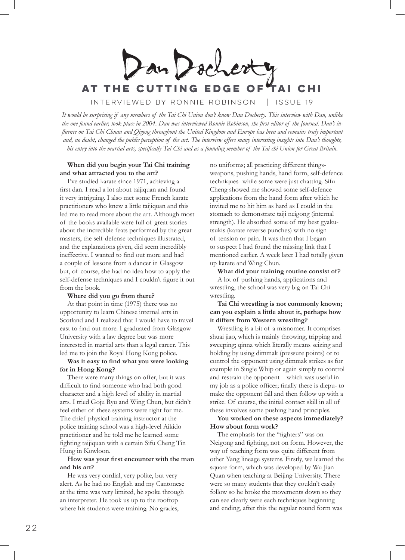Jan Dochert **AT THE CUTTING EDGE** interviewed by Ronnie Robinson | Issue 19

*It would be surprising if any members of the Tai Chi Union don't know Dan Docherty. This interview with Dan, unlike the one found earlier, took place in 2004. Dan was interviewed Ronnie Robinson, the first editor of the Journal. Dan's influence on Tai Chi Chuan and Qigong throughout the United Kingdom and Europe has been and remains truly important and, no doubt, changed the public perception of the art. The interview offers many interesting insights into Dan's thoughts, his entry into the martial arts, specifically Tai Chi and as a founding member of the Tai chi Union for Great Britain.*

## **When did you begin your Tai Chi training and what attracted you to the art?**

I've studied karate since 1971, achieving a first dan. I read a lot about taijiquan and found it very intriguing. I also met some French karate practitioners who knew a little taijiquan and this led me to read more about the art. Although most of the books available were full of great stories about the incredible feats performed by the great masters, the self-defense techniques illustrated, and the explanations given, did seem incredibly ineffective. I wanted to find out more and had a couple of lessons from a dancer in Glasgow but, of course, she had no idea how to apply the self-defense techniques and I couldn't figure it out from the book.

### **Where did you go from there?**

At that point in time (1975) there was no opportunity to learn Chinese internal arts in Scotland and I realized that I would have to travel east to find out more. I graduated from Glasgow University with a law degree but was more interested in martial arts than a legal career. This led me to join the Royal Hong Kong police.

### **Was it easy to find what you were looking for in Hong Kong?**

There were many things on offer, but it was difficult to find someone who had both good character and a high level of ability in martial arts. I tried Goju Ryu and Wing Chun, but didn't feel either of these systems were right for me. The chief physical training instructor at the police training school was a high-level Aikido practitioner and he told me he learned some fighting taijiquan with a certain Sifu Cheng Tin Hung in Kowloon.

### **How was your first encounter with the man and his art?**

He was very cordial, very polite, but very alert. As he had no English and my Cantonese at the time was very limited, he spoke through an interpreter. He took us up to the rooftop where his students were training. No grades,

no uniforms; all practicing different thingsweapons, pushing hands, hand form, self-defence techniques- while some were just chatting. Sifu Cheng showed me showed some self-defence applications from the hand form after which he invited me to hit him as hard as I could in the stomach to demonstrate taiji neigong (internal strength). He absorbed some of my best gyakutsukis (karate reverse punches) with no sign of tension or pain. It was then that I began to suspect I had found the missing link that I mentioned earlier. A week later I had totally given up karate and Wing Chun.

#### **What did your training routine consist of ?**

A lot of pushing hands, applications and wrestling, the school was very big on Tai Chi wrestling.

# **Tai Chi wrestling is not commonly known; can you explain a little about it, perhaps how it differs from Western wrestling?**

Wrestling is a bit of a misnomer. It comprises shuai jiao, which is mainly throwing, tripping and sweeping; qinna which literally means seizing and holding by using dimmak (pressure points) or to control the opponent using dimmak strikes as for example in Single Whip or again simply to control and restrain the opponent – which was useful in my job as a police officer; finally there is diepu- to make the opponent fall and then follow up with a strike. Of course, the initial contact skill in all of these involves some pushing hand principles.

### **You worked on these aspects immediately? How about form work?**

The emphasis for the "fighters" was on Neigong and fighting, not on form. However, the way of teaching form was quite different from other Yang lineage systems. Firstly, we learned the square form, which was developed by Wu Jian Quan when teaching at Beijing University. There were so many students that they couldn't easily follow so he broke the movements down so they can see clearly were each techniques beginning and ending, after this the regular round form was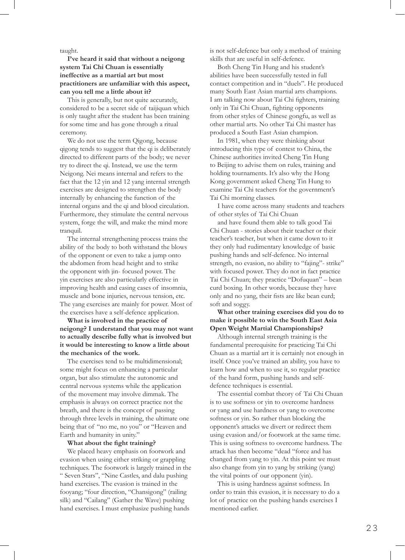taught.

# **I've heard it said that without a neigong system Tai Chi Chuan is essentially ineffective as a martial art but most practitioners are unfamiliar with this aspect, can you tell me a little about it?**

This is generally, but not quite accurately, considered to be a secret side of taijiquan which is only taught after the student has been training for some time and has gone through a ritual ceremony.

We do not use the term Qigong, because qigong tends to suggest that the qi is deliberately directed to different parts of the body; we never try to direct the qi. Instead, we use the term Neigong. Nei means internal and refers to the fact that the 12 yin and 12 yang internal strength exercises are designed to strengthen the body internally by enhancing the function of the internal organs and the qi and blood circulation. Furthermore, they stimulate the central nervous system, forge the will, and make the mind more tranquil.

The internal strengthening process trains the ability of the body to both withstand the blows of the opponent or even to take a jump onto the abdomen from head height and to strike the opponent with jin- focused power. The yin exercises are also particularly effective in improving health and easing cases of insomnia, muscle and bone injuries, nervous tension, etc. The yang exercises are mainly for power. Most of the exercises have a self-defence application.

**What is involved in the practice of neigong? I understand that you may not want to actually describe fully what is involved but it would be interesting to know a little about the mechanics of the work.**

The exercises tend to be multidimensional; some might focus on enhancing a particular organ, but also stimulate the autonomic and central nervous systems while the application of the movement may involve dimmak. The emphasis is always on correct practice not the breath, and there is the concept of passing through three levels in training, the ultimate one being that of "no me, no you" or "Heaven and Earth and humanity in unity."

# **What about the fight training?**

We placed heavy emphasis on footwork and evasion when using either striking or grappling techniques. The footwork is largely trained in the " Seven Stars", "Nine Castles, and dalu pushing hand exercises. The evasion is trained in the fooyang; "four direction, "Chansigong" (railing silk) and "Cailang" (Gather the Wave) pushing hand exercises. I must emphasize pushing hands

is not self-defence but only a method of training skills that are useful in self-defence.

Both Cheng Tin Hung and his student's abilities have been successfully tested in full contact competition and in "duels". He produced many South East Asian martial arts champions. I am talking now about Tai Chi fighters, training only in Tai Chi Chuan, fighting opponents from other styles of Chinese gongfu, as well as other martial arts. No other Tai Chi master has produced a South East Asian champion.

In 1981, when they were thinking about introducing this type of contest to China, the Chinese authorities invited Cheng Tin Hung to Beijing to advise them on rules, training and holding tournaments. It's also why the Hong Kong government asked Cheng Tin Hung to examine Tai Chi teachers for the government's Tai Chi morning classes.

I have come across many students and teachers of other styles of Tai Chi Chuan

and have found them able to talk good Tai Chi Chuan - stories about their teacher or their teacher's teacher, but when it came down to it they only had rudimentary knowledge of basic pushing hands and self-defence. No internal strength, no evasion, no ability to "fajing"- strike" with focused power. They do not in fact practice Tai Chi Chuan; they practice "Dofuquan" – bean curd boxing. In other words, because they have only and no yang, their fists are like bean curd; soft and soggy.

**What other training exercises did you do to make it possible to win the South East Asia Open Weight Martial Championships?** 

Although internal strength training is the fundamental prerequisite for practicing Tai Chi Chuan as a martial art it is certainly not enough in itself. Once you've trained an ability, you have to learn how and when to use it, so regular practice of the hand form, pushing hands and selfdefence techniques is essential.

The essential combat theory of Tai Chi Chuan is to use softness or yin to overcome hardness or yang and use hardness or yang to overcome softness or yin. So rather than blocking the opponent's attacks we divert or redirect them using evasion and/or footwork at the same time. This is using softness to overcome hardness. The attack has then become "dead "force and has changed from yang to yin. At this point we must also change from yin to yang by striking (yang) the vital points of our opponent (yin).

This is using hardness against softness. In order to train this evasion, it is necessary to do a lot of practice on the pushing hands exercises I mentioned earlier.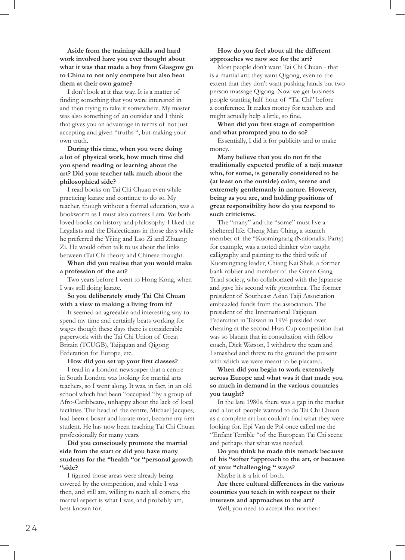**Aside from the training skills and hard work involved have you ever thought about what it was that made a boy from Glasgow go to China to not only compete but also beat them at their own game?**

I don't look at it that way. It is a matter of finding something that you were interested in and then trying to take it somewhere. My master was also something of an outsider and I think that gives you an advantage in terms of not just accepting and given "truths ", but making your own truth.

# **During this time, when you were doing a lot of physical work, how much time did you spend reading or learning about the art? Did your teacher talk much about the philosophical side?**

I read books on Tai Chi Chuan even while practicing karate and continue to do so. My teacher, though without a formal education, was a bookworm as I must also confess I am. We both loved books on history and philosophy. I liked the Legalists and the Dialecticians in those days while he preferred the Yijing and Lao Zi and Zhuang Zi. He would often talk to us about the links between tTai Chi theory and Chinese thought.

**When did you realise that you would make a profession of the art?**

Two years before I went to Hong Kong, when I was still doing karate.

**So you deliberately study Tai Chi Chuan with a view to making a living from it?**

It seemed an agreeable and interesting way to spend my time and certainly beats working for wages though these days there is considerable paperwork with the Tai Chi Union of Great Britain (TCUGB), Taijiquan and Qigong Federation for Europe, etc.

**How did you set up your first classes?** 

I read in a London newspaper that a centre in South London was looking for martial arts teachers, so I went along. It was, in fact, in an old school which had been "occupied "by a group of Afro-Caribbeans, unhappy about the lack of local facilities. The head of the centre, Michael Jacques, had been a boxer and karate man, became my first student. He has now been teaching Tai Chi Chuan professionally for many years.

**Did you consciously promote the martial side from the start or did you have many students for the "health "or "personal growth "side?**

I figured those areas were already being covered by the competition, and while I was then, and still am, willing to teach all comers, the martial aspect is what I was, and probably am, best known for.

### **How do you feel about all the different approaches we now see for the art?**

Most people don't want Tai Chi Chuan - that is a martial art; they want Qigong, even to the extent that they don't want pushing hands but two person massage Qigong. Now we get business people wanting half hour of "Tai Chi" before a conference. It makes money for teachers and might actually help a little, so fine.

**When did you first stage of competition and what prompted you to do so?**

Essentially, I did it for publicity and to make money.

**Many believe that you do not fit the traditionally expected profile of a taiji master who, for some, is generally considered to be (at least on the outside) calm, serene and extremely gentlemanly in nature. However, being as you are, and holding positions of great responsibility how do you respond to such criticisms.**

The "many" and the "some" must live a sheltered life. Cheng Man Ching, a staunch member of the "Kuomingtang (Nationalist Party) for example, was a noted drinker who taught calligraphy and painting to the third wife of Kuomingtang leader, Chiang Kai Shek, a former bank robber and member of the Green Gang Triad society, who collaborated with the Japanese and gave his second wife gonorrhea. The former president of Southeast Asian Taiji Association embezzled funds from the association. The president of the International Taijiquan Federation in Taiwan in 1994 presided over cheating at the second Hwa Cup competition that was so blatant that in consultation with fellow coach, Dick Watson, I withdrew the team and I smashed and threw to the ground the present with which we were meant to be placated.

**When did you begin to work extensively across Europe and what was it that made you so much in demand in the various countries you taught?**

In the late 1980s, there was a gap in the market and a lot of people wanted to do Tai Chi Chuan as a complete art but couldn't find what they were looking for. Epi Van de Pol once called me the "Enfant Terrible "of the European Tai Chi scene and perhaps that what was needed.

**Do you think he made this remark because of his "softer "approach to the art, or because of your "challenging " ways?**

Maybe it is a bit of both.

**Are there cultural differences in the various countries you teach in with respect to their interests and approaches to the art?**

Well, you need to accept that northern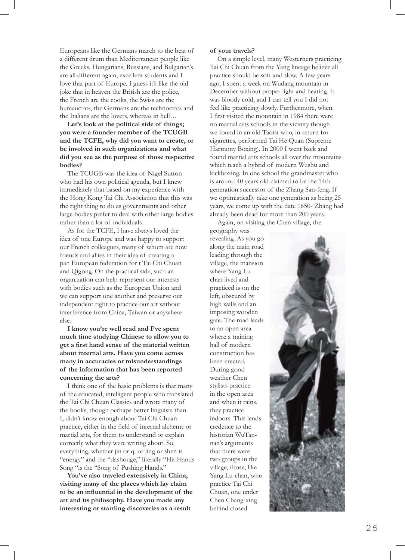Europeans like the Germans march to the beat of a different drum than Mediterranean people like the Greeks. Hungarians, Russians, and Bulgarian's are all different again, excellent students and I love that part of Europe. I guess it's like the old joke that in heaven the British are the police, the French are the cooks, the Swiss are the bureaucrats, the Germans are the technocrats and the Italians are the lovers, whereas in hell…

**Let's look at the political side of things; you were a founder member of the TCUGB and the TCFE, why did you want to create, or be involved in such organizations and what did you see as the purpose of those respective bodies?**

The TCUGB was the idea of Nigel Sutton who had his own political agenda, but I knew immediately that based on my experience with the Hong Kong Tai Chi Association that this was the right thing to do as governments and other large bodies prefer to deal with other large bodies rather than a lot of individuals.

As for the TCFE, I have always loved the idea of one Europe and was happy to support our French colleagues, many of whom are now friends and allies in their idea of creating a pan European federation for t Tai Chi Chuan and Qigong. On the practical side, such an organization can help represent our interests with bodies such as the European Union and we can support one another and preserve our independent right to practice our art without interference from China, Taiwan or anywhere else.

**I know you're well read and I've spent much time studying Chinese to allow you to get a first hand sense of the material written about internal arts. Have you come across many in accuracies or misunderstandings of the information that has been reported concerning the arts?**

I think one of the basic problems is that many of the educated, intelligent people who translated the Tai Chi Chuan Classics and wrote many of the books, though perhaps better linguists than I, didn't know enough about Tai Chi Chuan practice, either in the field of internal alchemy or martial arts, for them to understand or explain correctly what they were writing about. So, everything, whether jin or qi or jing or shen is "energy" and the "dashouge," literally "Hit Hands Song "is the "Song of Pushing Hands."

**You've also traveled extensively in China, visiting many of the places which lay claim to be an influential in the development of the art and its philosophy. Have you made any interesting or startling discoveries as a result** 

#### **of your travels?**

On a simple level, many Westerners practicing Tai Chi Chuan from the Yang lineage believe all practice should be soft and slow. A few years ago, I spent a week on Wudang mountain in December without proper light and heating. It was bloody cold, and I can tell you I did not feel like practicing slowly. Furthermore, when I first visited the mountain in 1984 there were no martial arts schools in the vicinity though we found in an old Taoist who, in return for cigarettes, performed Tai He Quan (Supreme Harmony Boxing). In 2000 I went back and found martial arts schools all over the mountains which teach a hybrid of modern Wushu and kickboxing. In one school the grandmaster who is around 40 years old claimed to be the 14th generation successor of the Zhang San-feng. If we optimistically take one generation as being 25 years, we come up with the date 1650- Zhang had already been dead for more than 200 years.

Again, on visiting the Chen village, the

geography was revealing. As you go along the main road leading through the village, the mansion where Yang Luchan lived and practiced is on the left, obscured by high walls and an imposing wooden gate. The road leads to an open area where a training hall of modern construction has been erected. During good weather Chen stylists practice in the open area and when it rains, they practice indoors. This lends credence to the historian WuTannan's arguments that there were two groups in the village, those, like Yang Lu-chan, who practice Tai Chi Chuan, one under Chen Chang-xing behind closed

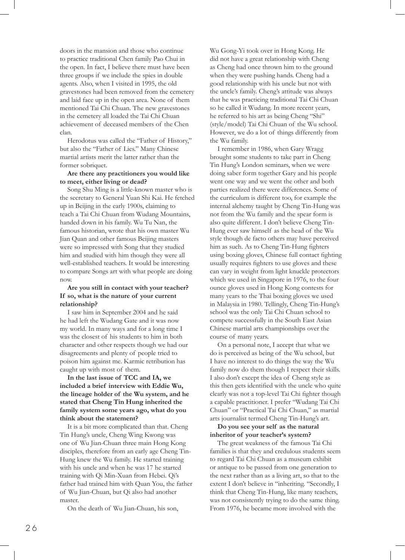doors in the mansion and those who continue to practice traditional Chen family Pao Chui in the open. In fact, I believe there must have been three groups if we include the spies in double agents. Also, when I visited in 1995, the old gravestones had been removed from the cemetery and laid face up in the open area. None of them mentioned Tai Chi Chuan. The new gravestones in the cemetery all loaded the Tai Chi Chuan achievement of deceased members of the Chen clan.

Herodotus was called the "Father of History," but also the "Father of Lies." Many Chinese martial artists merit the latter rather than the former sobriquet.

### **Are there any practitioners you would like to meet, either living or dead?**

Song Shu Ming is a little-known master who is the secretary to General Yuan Shi Kai. He fetched up in Beijing in the early 1900s, claiming to teach a Tai Chi Chuan from Wudang Mountains, handed down in his family. Wu Tu Nan, the famous historian, wrote that his own master Wu Jian Quan and other famous Beijing masters were so impressed with Song that they studied him and studied with him though they were all well-established teachers. It would be interesting to compare Songs art with what people are doing now.

## **Are you still in contact with your teacher? If so, what is the nature of your current relationship?**

I saw him in September 2004 and he said he had left the Wudang Gate and it was now my world. In many ways and for a long time I was the closest of his students to him in both character and other respects though we had our disagreements and plenty of people tried to poison him against me. Karmic retribution has caught up with most of them.

# **In the last issue of TCC and IA, we included a brief interview with Eddie Wu, the lineage holder of the Wu system, and he stated that Cheng Tin Hung inherited the family system some years ago, what do you think about the statement?**

It is a bit more complicated than that. Cheng Tin Hung's uncle, Cheng Wing Kwong was one of Wu Jian-Chuan three main Hong Kong disciples, therefore from an early age Cheng Tin-Hung knew the Wu family. He started training with his uncle and when he was 17 he started training with Qi Min-Xuan from Hebei. Qi's father had trained him with Quan You, the father of Wu Jian-Chuan, but Qi also had another master.

On the death of Wu Jian-Chuan, his son,

Wu Gong-Yi took over in Hong Kong. He did not have a great relationship with Cheng as Cheng had once thrown him to the ground when they were pushing hands. Cheng had a good relationship with his uncle but not with the uncle's family. Cheng's attitude was always that he was practicing traditional Tai Chi Chuan so he called it Wudang. In more recent years, he referred to his art as being Cheng "Shi" (style/model) Tai Chi Chuan of the Wu school. However, we do a lot of things differently from the Wu family.

I remember in 1986, when Gary Wragg brought some students to take part in Cheng Tin Hung's London seminars, when we were doing saber form together Gary and his people went one way and we went the other and both parties realized there were differences. Some of the curriculum is different too, for example the internal alchemy taught by Cheng Tin-Hung was not from the Wu family and the spear form is also quite different. I don't believe Cheng Tin-Hung ever saw himself as the head of the Wu style though de facto others may have perceived him as such. As to Cheng Tin-Hung fighters using boxing gloves, Chinese full contact fighting usually requires fighters to use gloves and these can vary in weight from light knuckle protectors which we used in Singapore in 1976, to the four ounce gloves used in Hong Kong contests for many years to the Thai boxing gloves we used in Malaysia in 1980. Tellingly, Cheng Tin-Hung's school was the only Tai Chi Chuan school to compete successfully in the South East Asian Chinese martial arts championships over the course of many years.

On a personal note, I accept that what we do is perceived as being of the Wu school, but I have no interest to do things the way the Wu family now do them though I respect their skills. I also don't except the idea of Cheng style as this then gets identified with the uncle who quite clearly was not a top-level Tai Chi fighter though a capable practitioner. I prefer "Wudang Tai Chi Chuan" or "Practical Tai Chi Chuan," as martial arts journalist termed Cheng Tin-Hung's art.

#### **Do you see your self as the natural inheritor of your teacher's system?**

The great weakness of the famous Tai Chi families is that they and credulous students seem to regard Tai Chi Chuan as a museum exhibit or antique to be passed from one generation to the next rather than as a living art, so that to the extent I don't believe in "inheriting. "Secondly, I think that Cheng Tin-Hung, like many teachers, was not consistently trying to do the same thing. From 1976, he became more involved with the